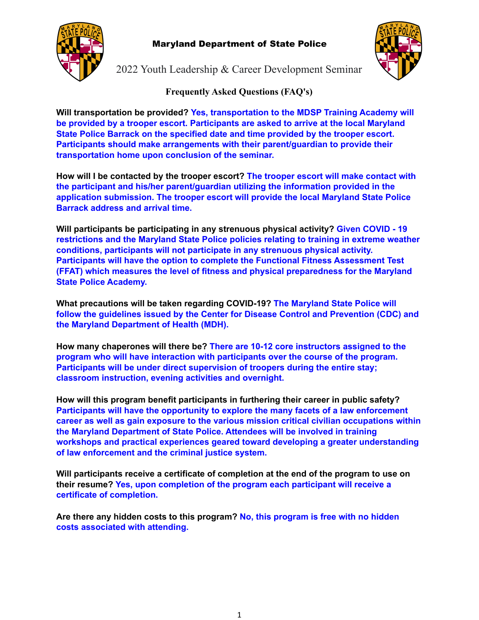

### Maryland Department of State Police



2022 Youth Leadership & Career Development Seminar

### **Frequently Asked Questions (FAQ's)**

**Will transportation be provided? Yes, transportation to the MDSP Training Academy will be provided by a trooper escort. Participants are asked to arrive at the local Maryland State Police Barrack on the specified date and time provided by the trooper escort. Participants should make arrangements with their parent/guardian to provide their transportation home upon conclusion of the seminar.**

**How will I be contacted by the trooper escort? The trooper escort will make contact with the participant and his/her parent/guardian utilizing the information provided in the application submission. The trooper escort will provide the local Maryland State Police Barrack address and arrival time.**

**Will participants be participating in any strenuous physical activity? Given COVID - 19 restrictions and the Maryland State Police policies relating to training in extreme weather conditions, participants will not participate in any strenuous physical activity. Participants will have the option to complete the Functional Fitness Assessment Test (FFAT) which measures the level of fitness and physical preparedness for the Maryland State Police Academy.**

**What precautions will be taken regarding COVID-19? The Maryland State Police will follow the guidelines issued by the Center for Disease Control and Prevention (CDC) and the Maryland Department of Health (MDH).**

**How many chaperones will there be? There are 10-12 core instructors assigned to the program who will have interaction with participants over the course of the program. Participants will be under direct supervision of troopers during the entire stay; classroom instruction, evening activities and overnight.**

**How will this program benefit participants in furthering their career in public safety? Participants will have the opportunity to explore the many facets of a law enforcement career as well as gain exposure to the various mission critical civilian occupations within the Maryland Department of State Police. Attendees will be involved in training workshops and practical experiences geared toward developing a greater understanding of law enforcement and the criminal justice system.**

**Will participants receive a certificate of completion at the end of the program to use on their resume? Yes, upon completion of the program each participant will receive a certificate of completion.**

**Are there any hidden costs to this program? No, this program is free with no hidden costs associated with attending.**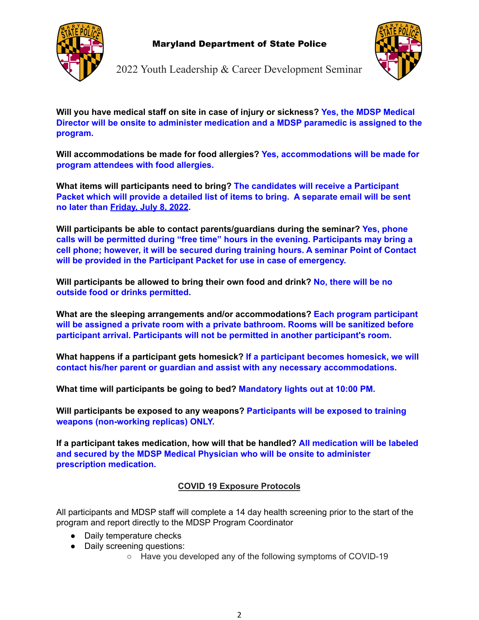



2022 Youth Leadership & Career Development Seminar

**Will you have medical staff on site in case of injury or sickness? Yes, the MDSP Medical Director will be onsite to administer medication and a MDSP paramedic is assigned to the program.**

**Will accommodations be made for food allergies? Yes, accommodations will be made for program attendees with food allergies.**

**What items will participants need to bring? The candidates will receive a Participant Packet which will provide a detailed list of items to bring. A separate email will be sent no later than Friday, July 8, 2022.**

**Will participants be able to contact parents/guardians during the seminar? Yes, phone calls will be permitted during "free time" hours in the evening. Participants may bring a cell phone; however, it will be secured during training hours. A seminar Point of Contact will be provided in the Participant Packet for use in case of emergency.**

**Will participants be allowed to bring their own food and drink? No, there will be no outside food or drinks permitted.**

**What are the sleeping arrangements and/or accommodations? Each program participant will be assigned a private room with a private bathroom. Rooms will be sanitized before participant arrival. Participants will not be permitted in another participant's room.**

**What happens if a participant gets homesick? If a participant becomes homesick, we will contact his/her parent or guardian and assist with any necessary accommodations.**

**What time will participants be going to bed? Mandatory lights out at 10:00 PM.**

**Will participants be exposed to any weapons? Participants will be exposed to training weapons (non-working replicas) ONLY.**

**If a participant takes medication, how will that be handled? All medication will be labeled and secured by the MDSP Medical Physician who will be onsite to administer prescription medication.**

## **COVID 19 Exposure Protocols**

All participants and MDSP staff will complete a 14 day health screening prior to the start of the program and report directly to the MDSP Program Coordinator

- Daily temperature checks
- Daily screening questions:
	- Have you developed any of the following symptoms of COVID-19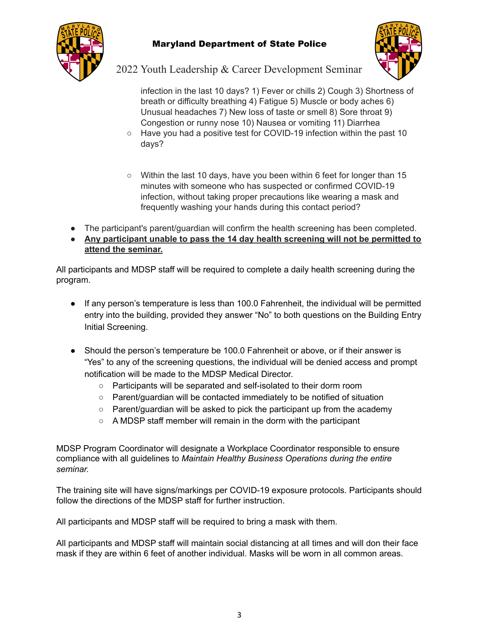

## Maryland Department of State Police



2022 Youth Leadership & Career Development Seminar

infection in the last 10 days? 1) Fever or chills 2) Cough 3) Shortness of breath or difficulty breathing 4) Fatigue 5) Muscle or body aches 6) Unusual headaches 7) New loss of taste or smell 8) Sore throat 9) Congestion or runny nose 10) Nausea or vomiting 11) Diarrhea

- Have you had a positive test for COVID-19 infection within the past 10 days?
- $\circ$  Within the last 10 days, have you been within 6 feet for longer than 15 minutes with someone who has suspected or confirmed COVID-19 infection, without taking proper precautions like wearing a mask and frequently washing your hands during this contact period?
- The participant's parent/guardian will confirm the health screening has been completed.
- **Any participant unable to pass the 14 day health screening will not be permitted to attend the seminar.**

All participants and MDSP staff will be required to complete a daily health screening during the program.

- If any person's temperature is less than 100.0 Fahrenheit, the individual will be permitted entry into the building, provided they answer "No" to both questions on the Building Entry Initial Screening.
- Should the person's temperature be 100.0 Fahrenheit or above, or if their answer is "Yes" to any of the screening questions, the individual will be denied access and prompt notification will be made to the MDSP Medical Director.
	- Participants will be separated and self-isolated to their dorm room
	- Parent/guardian will be contacted immediately to be notified of situation
	- Parent/guardian will be asked to pick the participant up from the academy
	- A MDSP staff member will remain in the dorm with the participant

MDSP Program Coordinator will designate a Workplace Coordinator responsible to ensure compliance with all guidelines to *Maintain Healthy Business Operations during the entire seminar.*

The training site will have signs/markings per COVID-19 exposure protocols. Participants should follow the directions of the MDSP staff for further instruction.

All participants and MDSP staff will be required to bring a mask with them.

All participants and MDSP staff will maintain social distancing at all times and will don their face mask if they are within 6 feet of another individual. Masks will be worn in all common areas.